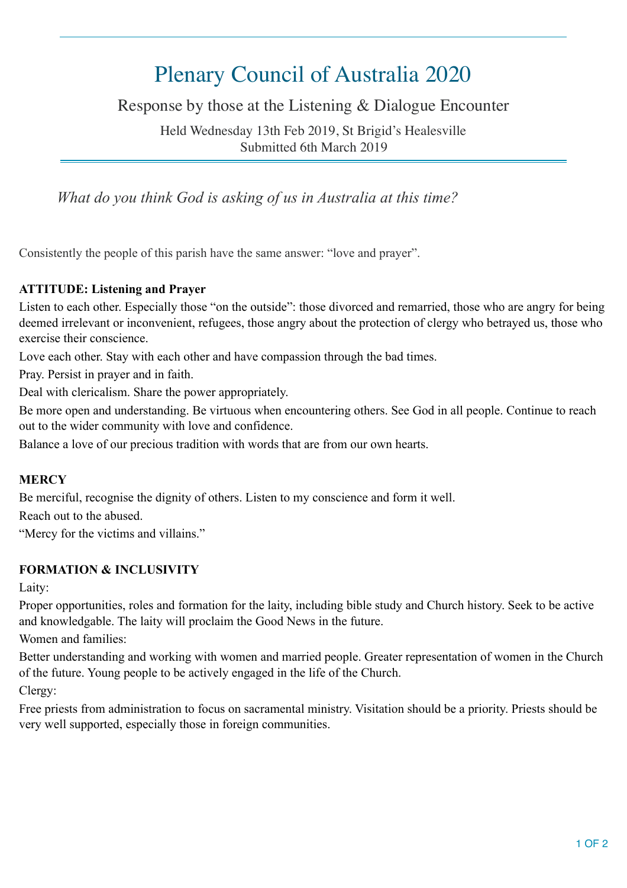# Plenary Council of Australia 2020

Response by those at the Listening & Dialogue Encounter

Held Wednesday 13th Feb 2019, St Brigid's Healesville Submitted 6th March 2019

*What do you think God is asking of us in Australia at this time?* 

Consistently the people of this parish have the same answer: "love and prayer".

### **ATTITUDE: Listening and Prayer**

Listen to each other. Especially those "on the outside": those divorced and remarried, those who are angry for being deemed irrelevant or inconvenient, refugees, those angry about the protection of clergy who betrayed us, those who exercise their conscience.

Love each other. Stay with each other and have compassion through the bad times.

Pray. Persist in prayer and in faith.

Deal with clericalism. Share the power appropriately.

Be more open and understanding. Be virtuous when encountering others. See God in all people. Continue to reach out to the wider community with love and confidence.

Balance a love of our precious tradition with words that are from our own hearts.

#### **MERCY**

Be merciful, recognise the dignity of others. Listen to my conscience and form it well.

Reach out to the abused.

"Mercy for the victims and villains."

#### **FORMATION & INCLUSIVITY**

Laity:

Proper opportunities, roles and formation for the laity, including bible study and Church history. Seek to be active and knowledgable. The laity will proclaim the Good News in the future.

Women and families:

Better understanding and working with women and married people. Greater representation of women in the Church of the future. Young people to be actively engaged in the life of the Church.

Clergy:

Free priests from administration to focus on sacramental ministry. Visitation should be a priority. Priests should be very well supported, especially those in foreign communities.